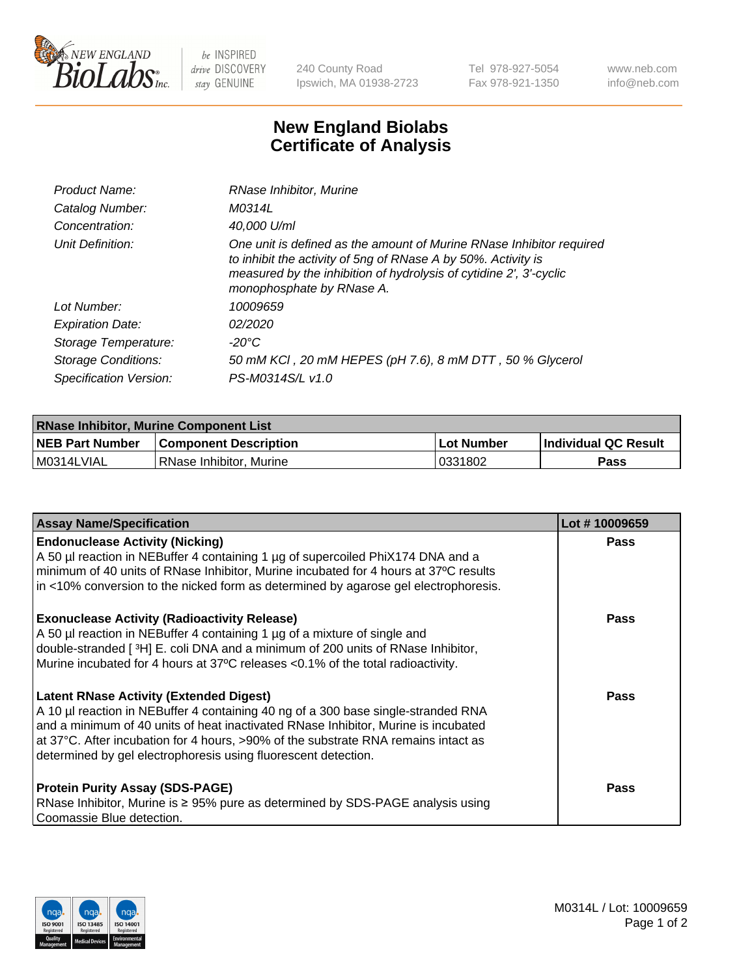

 $be$  INSPIRED drive DISCOVERY stay GENUINE

240 County Road Ipswich, MA 01938-2723 Tel 978-927-5054 Fax 978-921-1350 www.neb.com info@neb.com

## **New England Biolabs Certificate of Analysis**

| Product Name:              | RNase Inhibitor, Murine                                                                                                                                                                                                                  |
|----------------------------|------------------------------------------------------------------------------------------------------------------------------------------------------------------------------------------------------------------------------------------|
| Catalog Number:            | M0314L                                                                                                                                                                                                                                   |
| Concentration:             | 40,000 U/ml                                                                                                                                                                                                                              |
| Unit Definition:           | One unit is defined as the amount of Murine RNase Inhibitor required<br>to inhibit the activity of 5ng of RNase A by 50%. Activity is<br>measured by the inhibition of hydrolysis of cytidine 2', 3'-cyclic<br>monophosphate by RNase A. |
| Lot Number:                | 10009659                                                                                                                                                                                                                                 |
| <b>Expiration Date:</b>    | 02/2020                                                                                                                                                                                                                                  |
| Storage Temperature:       | -20°C                                                                                                                                                                                                                                    |
| <b>Storage Conditions:</b> | 50 mM KCl, 20 mM HEPES (pH 7.6), 8 mM DTT, 50 % Glycerol                                                                                                                                                                                 |
| Specification Version:     | PS-M0314S/L v1.0                                                                                                                                                                                                                         |

| <b>RNase Inhibitor, Murine Component List</b> |                              |                   |                             |  |
|-----------------------------------------------|------------------------------|-------------------|-----------------------------|--|
| <b>NEB Part Number</b>                        | <b>Component Description</b> | <b>Lot Number</b> | <b>Individual QC Result</b> |  |
| M0314LVIAL                                    | RNase Inhibitor, Murine      | 0331802           | <b>Pass</b>                 |  |

| <b>Assay Name/Specification</b>                                                                                                                                                                                                                                                                                                                                                   | Lot #10009659 |
|-----------------------------------------------------------------------------------------------------------------------------------------------------------------------------------------------------------------------------------------------------------------------------------------------------------------------------------------------------------------------------------|---------------|
| <b>Endonuclease Activity (Nicking)</b><br>A 50 µl reaction in NEBuffer 4 containing 1 µg of supercoiled PhiX174 DNA and a                                                                                                                                                                                                                                                         | <b>Pass</b>   |
| minimum of 40 units of RNase Inhibitor, Murine incubated for 4 hours at 37°C results<br>in <10% conversion to the nicked form as determined by agarose gel electrophoresis.                                                                                                                                                                                                       |               |
| <b>Exonuclease Activity (Radioactivity Release)</b><br>A 50 µl reaction in NEBuffer 4 containing 1 µg of a mixture of single and<br>double-stranded [3H] E. coli DNA and a minimum of 200 units of RNase Inhibitor,<br>Murine incubated for 4 hours at 37°C releases <0.1% of the total radioactivity.                                                                            | <b>Pass</b>   |
| <b>Latent RNase Activity (Extended Digest)</b><br>A 10 µl reaction in NEBuffer 4 containing 40 ng of a 300 base single-stranded RNA<br>and a minimum of 40 units of heat inactivated RNase Inhibitor, Murine is incubated<br>at 37°C. After incubation for 4 hours, >90% of the substrate RNA remains intact as<br>determined by gel electrophoresis using fluorescent detection. | <b>Pass</b>   |
| <b>Protein Purity Assay (SDS-PAGE)</b><br>RNase Inhibitor, Murine is ≥ 95% pure as determined by SDS-PAGE analysis using<br>Coomassie Blue detection.                                                                                                                                                                                                                             | Pass          |